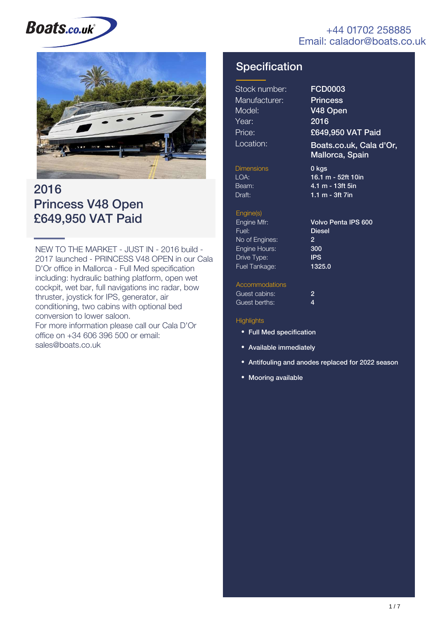#### +44 01702 258885 Email: calador@boats.co.uk

# **Boats.co.uk**



### 2016 Princess V48 Open £649,950 VAT Paid

NEW TO THE MARKET - JUST IN - 2016 build - 2017 launched - PRINCESS V48 OPEN in our Cala D'Or office in Mallorca - Full Med specification including: hydraulic bathing platform, open wet cockpit, wet bar, full navigations inc radar, bow thruster, joystick for IPS, generator, air conditioning, two cabins with optional bed conversion to lower saloon. For more information please call our Cala D'Or office on +34 606 396 500 or email: sales@boats.co.uk

### **Specification**

| Stock number: |
|---------------|
| Manufacturer: |
| Model:        |
| Year:         |
| Price:        |
| Location:     |

FCD0003 **Princess** V48 Open 2016 £649,950 VAT Paid

Boats.co.uk, Cala d'Or, Mallorca, Spain

**Dimensions** Beam: Draft:

LOA: 16.1 m - 52ft 10in 4.1 m - 13ft 5in 1.1 m - 3ft 7in 0 kgs

#### Engine(s)

Engine Mfr: Fuel: No of Engines: Engine Hours: Drive Type: Fuel Tankage:

Volvo Penta IPS 600 Diesel 2 300 IPS 1325.0

#### Accommodations

| Guest cabins: | 2 |
|---------------|---|
| Guest berths: | 4 |

#### **Highlights**

- Full Med specification
- Available immediately
- Antifouling and anodes replaced for 2022 season
- Mooring available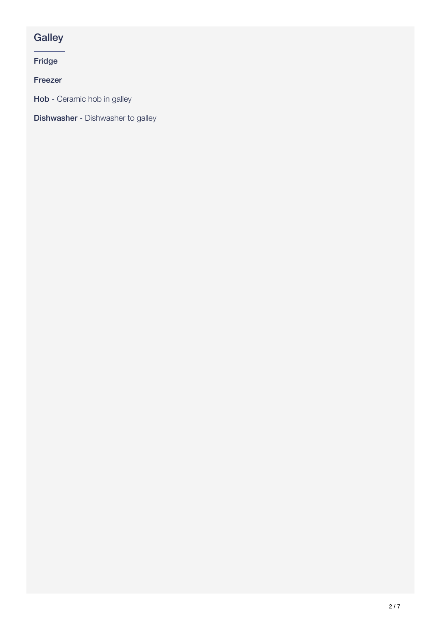### **Galley**

Fridge

Freezer

Hob - Ceramic hob in galley

**Dishwasher** - Dishwasher to galley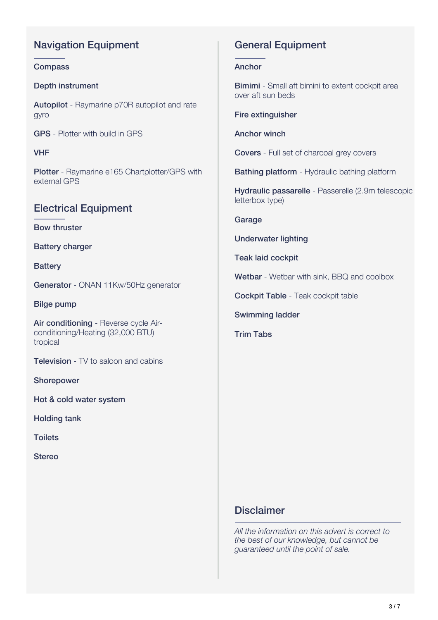### Navigation Equipment

#### **Compass**

#### Depth instrument

Autopilot - Raymarine p70R autopilot and rate gyro

GPS - Plotter with build in GPS

VHF

Plotter - Raymarine e165 Chartplotter/GPS with external GPS

#### Electrical Equipment

Bow thruster

Battery charger

**Battery** 

Generator - ONAN 11Kw/50Hz generator

Bilge pump

Air conditioning - Reverse cycle Airconditioning/Heating (32,000 BTU) tropical

**Television** - TV to saloon and cabins

Shorepower

Hot & cold water system

Holding tank

**Toilets** 

Stereo

#### General Equipment

#### Anchor

**Bimimi** - Small aft bimini to extent cockpit area over aft sun beds

Fire extinguisher

Anchor winch

Covers - Full set of charcoal grey covers

Bathing platform - Hydraulic bathing platform

Hydraulic passarelle - Passerelle (2.9m telescopic letterbox type)

Garage

Underwater lighting

Teak laid cockpit

Wetbar - Wetbar with sink, BBQ and coolbox

Cockpit Table - Teak cockpit table

Swimming ladder

Trim Tabs

#### **Disclaimer**

*All the information on this advert is correct to the best of our knowledge, but cannot be guaranteed until the point of sale.*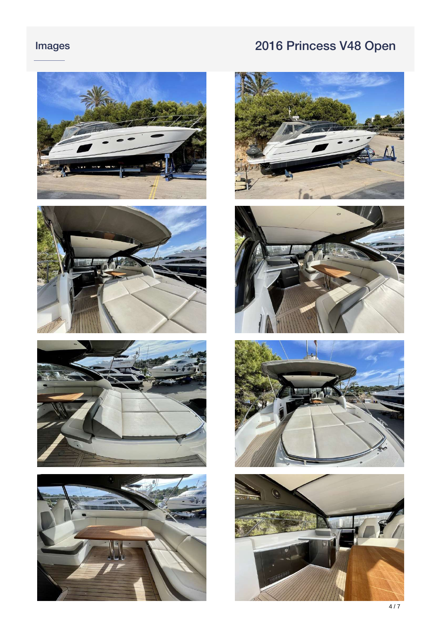













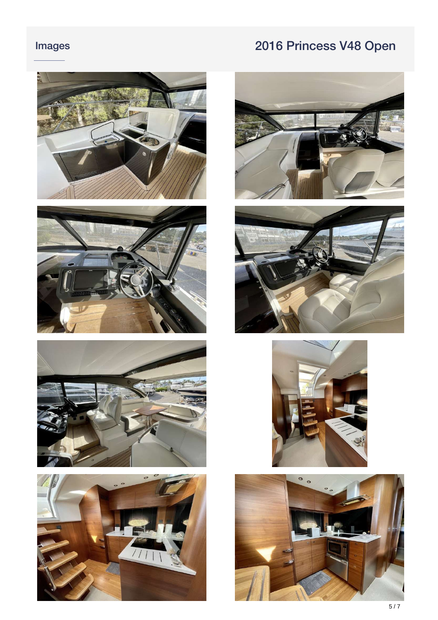







![](_page_4_Picture_6.jpeg)

![](_page_4_Picture_7.jpeg)

![](_page_4_Picture_8.jpeg)

![](_page_4_Picture_9.jpeg)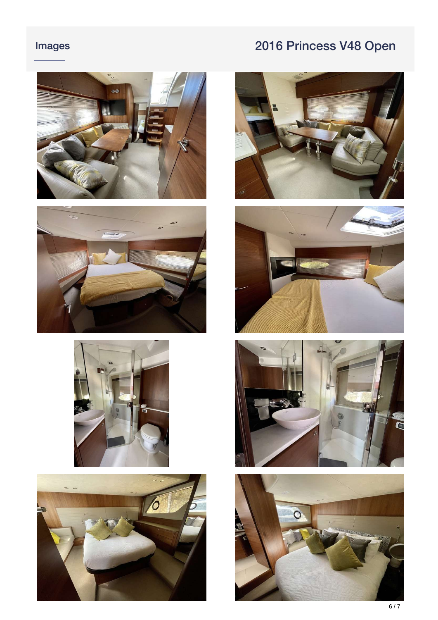![](_page_5_Picture_2.jpeg)

![](_page_5_Picture_3.jpeg)

![](_page_5_Picture_4.jpeg)

![](_page_5_Picture_5.jpeg)

![](_page_5_Picture_6.jpeg)

![](_page_5_Picture_7.jpeg)

![](_page_5_Picture_8.jpeg)

![](_page_5_Picture_9.jpeg)